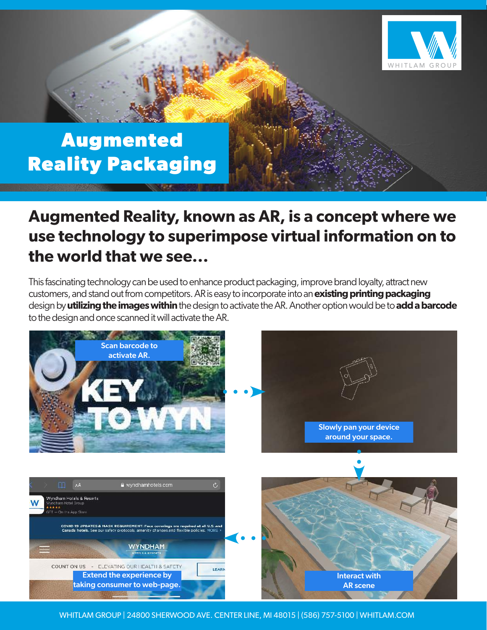

# **Augmented Reality Packaging**

## **Augmented Reality, known as AR, is a concept where we use technology to superimpose virtual information on to the world that we see...**

This fascinating technology can be used to enhance product packaging, improve brand loyalty, attract new customers, and stand out from competitors. AR is easy to incorporate into an **existing printing packaging** design by **utilizing the images within** the design to activate the AR. Another option would be to **add a barcode** to the design and once scanned it will activate the AR.



WHITLAM GROUP | 24800 SHERWOOD AVE. CENTER LINE, MI 48015 | (586) 757-5100 | WHITLAM.COM